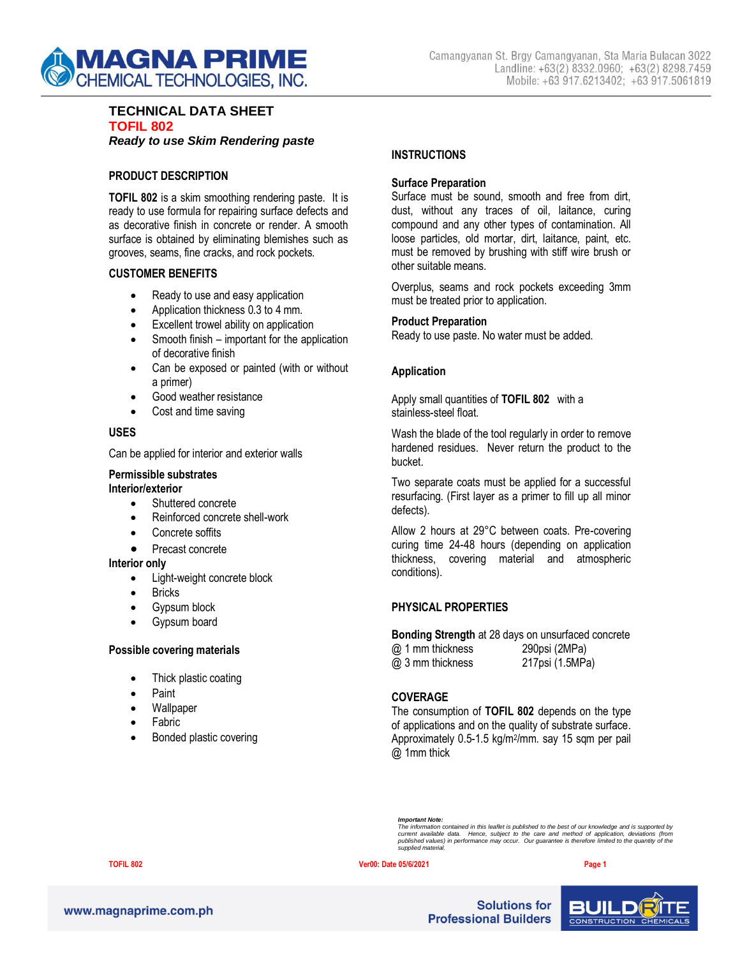

#### **TECHNICAL DATA SHEET TOFIL 802** *Ready to use Skim Rendering paste*

### **PRODUCT DESCRIPTION**

**TOFIL 802** is a skim smoothing rendering paste. It is ready to use formula for repairing surface defects and as decorative finish in concrete or render. A smooth surface is obtained by eliminating blemishes such as grooves, seams, fine cracks, and rock pockets.

#### **CUSTOMER BENEFITS**

- Ready to use and easy application
- Application thickness 0.3 to 4 mm.
- Excellent trowel ability on application
- Smooth finish important for the application of decorative finish
- Can be exposed or painted (with or without a primer)
- Good weather resistance
- Cost and time saving

#### **USES**

Can be applied for interior and exterior walls

#### **Permissible substrates**

#### **Interior/exterior**

- Shuttered concrete
- Reinforced concrete shell-work
- Concrete soffits
- Precast concrete

#### **Interior only**

- Light-weight concrete block
- **Bricks**
- Gypsum block
- Gypsum board

#### **Possible covering materials**

- Thick plastic coating
- Paint
- **Wallpaper**
- Fabric
- Bonded plastic covering

### **INSTRUCTIONS**

### **Surface Preparation**

Surface must be sound, smooth and free from dirt, dust, without any traces of oil, laitance, curing compound and any other types of contamination. All loose particles, old mortar, dirt, laitance, paint, etc. must be removed by brushing with stiff wire brush or other suitable means.

Overplus, seams and rock pockets exceeding 3mm must be treated prior to application.

#### **Product Preparation**

Ready to use paste. No water must be added.

#### **Application**

Apply small quantities of **TOFIL 802** with a stainless-steel float.

Wash the blade of the tool regularly in order to remove hardened residues. Never return the product to the bucket.

Two separate coats must be applied for a successful resurfacing. (First layer as a primer to fill up all minor defects).

Allow 2 hours at 29°C between coats. Pre-covering curing time 24-48 hours (depending on application thickness, covering material and atmospheric conditions).

## **PHYSICAL PROPERTIES**

**Bonding Strength** at 28 days on unsurfaced concrete @ 1 mm thickness 290psi (2MPa) @ 3 mm thickness 217psi (1.5MPa)

## **COVERAGE**

The consumption of **TOFIL 802** depends on the type of applications and on the quality of substrate surface. Approximately 0.5-1.5 kg/m<sup>2</sup>/mm. say 15 sqm per pail @ 1mm thick

#### **TOFIL 802 Ver00: Date 05/6/2021 Page 1**



**Solutions for Professional Builders** 



*Important Note: The information contained in this leaflet is published to the best of our knowledge and is supported by current available data. Hence, subject to the care and method of application, deviations (from published values) in performance may occur. Our guarantee is therefore limited to the quantity of the supplied material.*